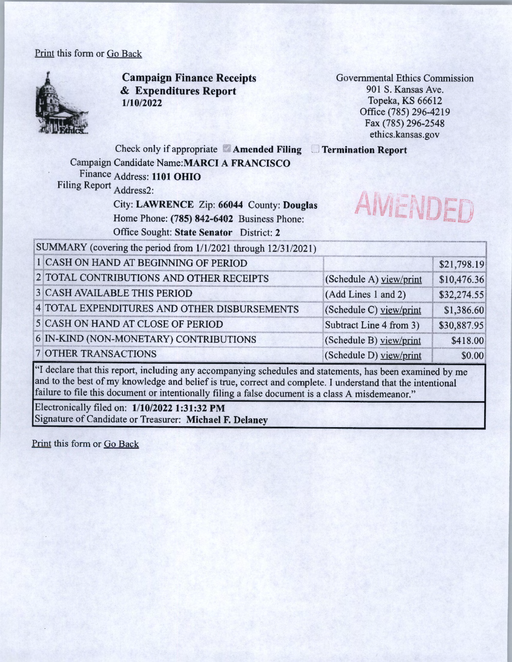## Print this form or Go Back



**Campaign Finance Receipts**  & **Expenditures Report 1/10/2022** 

Governmental Ethics Commission 901 S. Kansas Ave. Topeka, KS 66612 Office (785) 296-4219 Fax (785) 296-2548 ethics.kansas.gov

Check only if appropriate **Amended Filing Termination Report**  Campaign Candidate **Name:MARCI A FRANCISCO**  Finance Address: **1101 OHIO**  Filing Report Address2:

City: **LAWRENCE** Zip: **66044** County: **Douglas**  Home Phone: **(785) 842-6402** Business Phone: Office Sought: **State Senator** District: **2**<br>SUMMARY (covering the period from 1/1/2021 through 12/31/2021)



| 1 CASH ON HAND AT BEGINNING OF PERIOD        |                         | \$21,798.19 |
|----------------------------------------------|-------------------------|-------------|
| 2 TOTAL CONTRIBUTIONS AND OTHER RECEIPTS     | (Schedule A) view/print | \$10,476.36 |
| <b>3 CASH AVAILABLE THIS PERIOD</b>          | (Add Lines 1 and 2)     | \$32,274.55 |
| 4 TOTAL EXPENDITURES AND OTHER DISBURSEMENTS | (Schedule C) yiew/print | \$1,386.60  |
| 5 CASH ON HAND AT CLOSE OF PERIOD            | Subtract Line 4 from 3) | \$30,887.95 |
| 6 IN-KIND (NON-MONETARY) CONTRIBUTIONS       | (Schedule B) view/print | \$418.00    |
| <b>7 OTHER TRANSACTIONS</b>                  | (Schedule D) view/print | \$0.00      |

"I declare that this report, including any accompanying schedules and statements, has been examined by me and to the best of my knowledge and belief is true, correct and complete. I understand that the intentional failure to file this document or intentionally filing a false document is a class A misdemeanor."

Electronically filed on: **1/10/2022 1:31:32 PM**  Signature of Candidate or Treasurer: **Michael F. Delaney** 

Print this form or Go Back